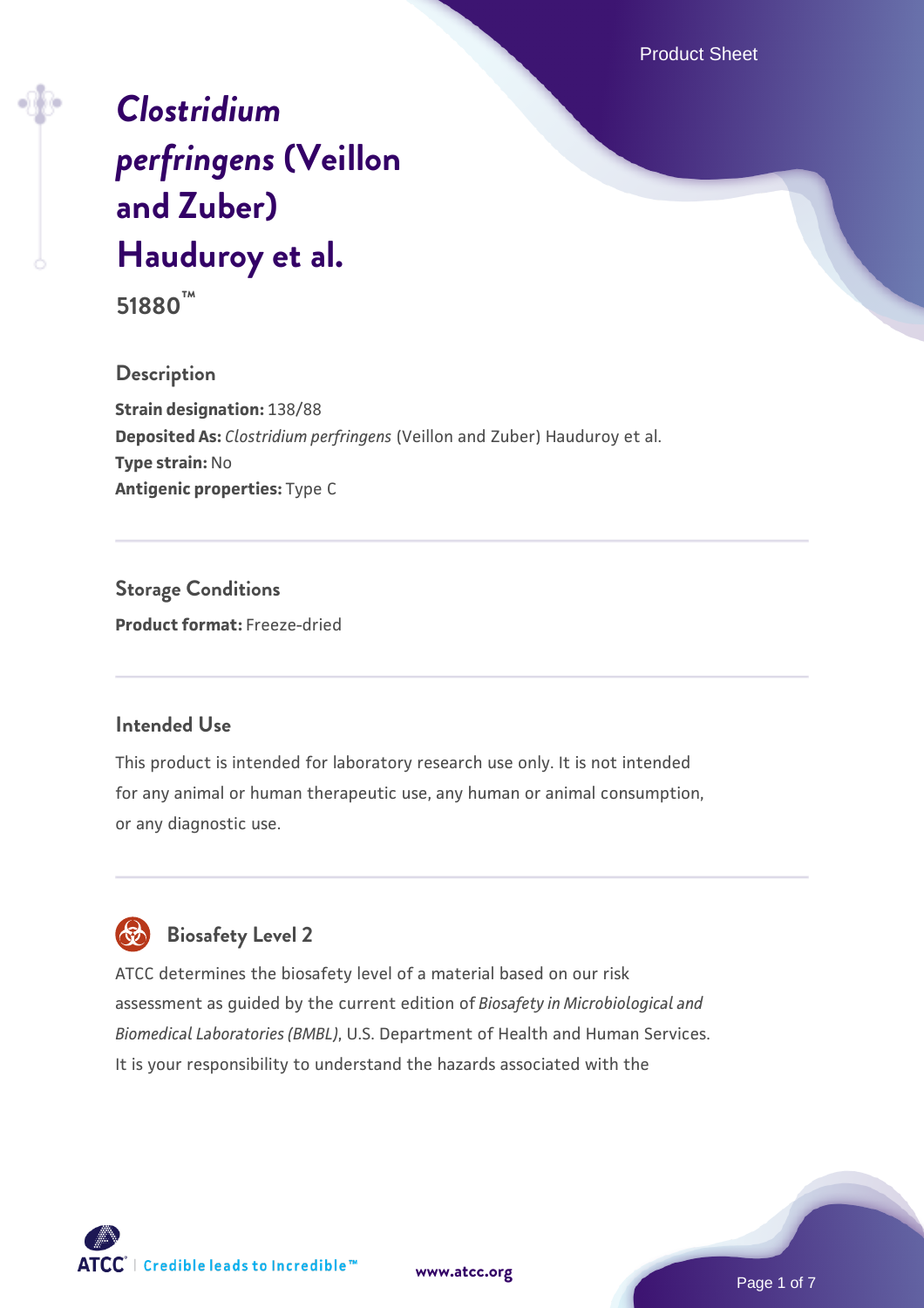Product Sheet

# *[Clostridium](https://www.atcc.org/products/51880) [perfringens](https://www.atcc.org/products/51880)* **[\(Veillon](https://www.atcc.org/products/51880) [and Zuber\)](https://www.atcc.org/products/51880) [Hauduroy et al.](https://www.atcc.org/products/51880)**

**51880™**

### **Description**

**Strain designation:** 138/88 **Deposited As:** *Clostridium perfringens* (Veillon and Zuber) Hauduroy et al. **Type strain:** No **Antigenic properties:** Type C

**Storage Conditions Product format:** Freeze-dried

### **Intended Use**

This product is intended for laboratory research use only. It is not intended for any animal or human therapeutic use, any human or animal consumption, or any diagnostic use.



# **Biosafety Level 2**

ATCC determines the biosafety level of a material based on our risk assessment as guided by the current edition of *Biosafety in Microbiological and Biomedical Laboratories (BMBL)*, U.S. Department of Health and Human Services. It is your responsibility to understand the hazards associated with the



**[www.atcc.org](http://www.atcc.org)**

Page 1 of 7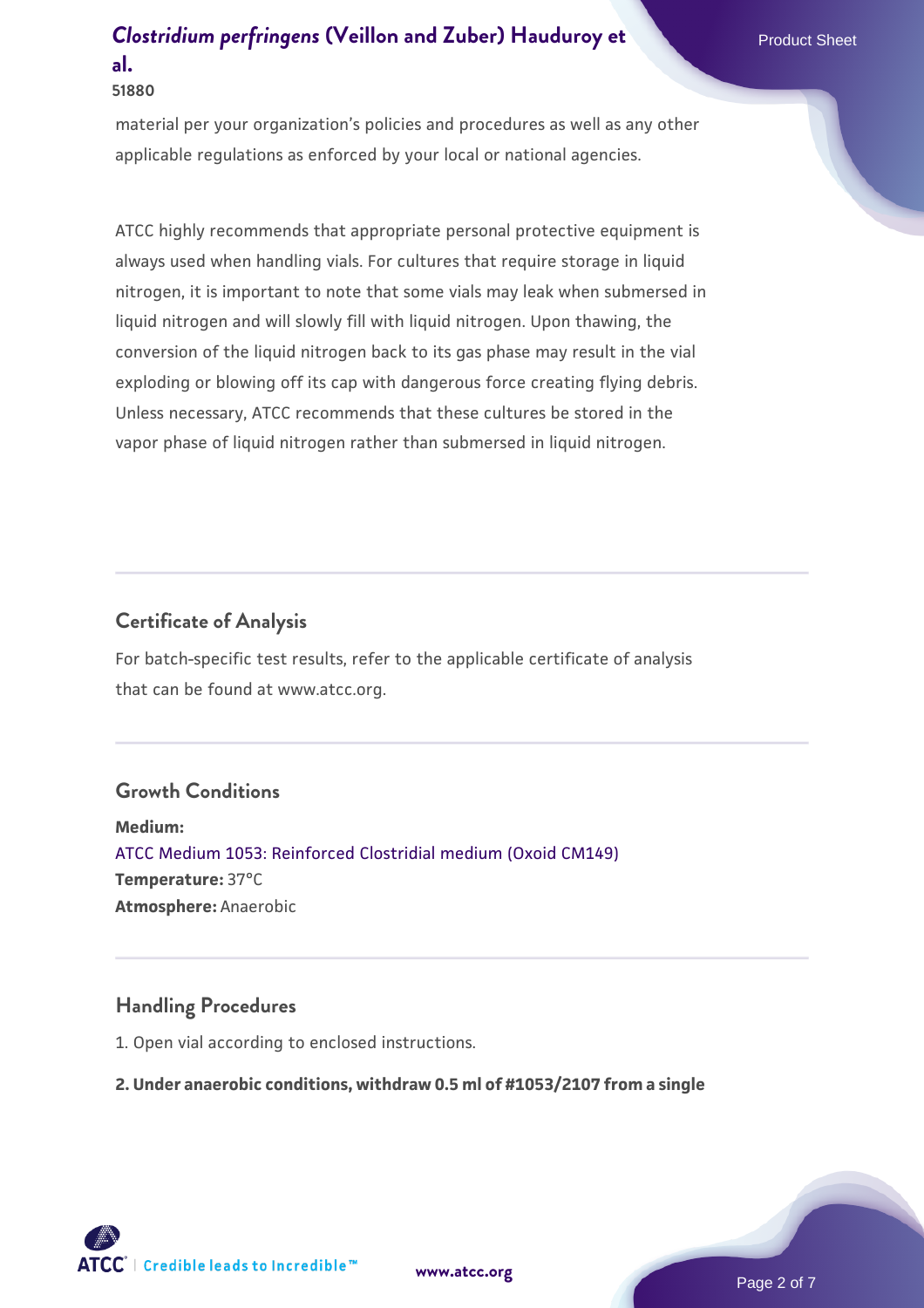material per your organization's policies and procedures as well as any other applicable regulations as enforced by your local or national agencies.

ATCC highly recommends that appropriate personal protective equipment is always used when handling vials. For cultures that require storage in liquid nitrogen, it is important to note that some vials may leak when submersed in liquid nitrogen and will slowly fill with liquid nitrogen. Upon thawing, the conversion of the liquid nitrogen back to its gas phase may result in the vial exploding or blowing off its cap with dangerous force creating flying debris. Unless necessary, ATCC recommends that these cultures be stored in the vapor phase of liquid nitrogen rather than submersed in liquid nitrogen.

## **Certificate of Analysis**

For batch-specific test results, refer to the applicable certificate of analysis that can be found at www.atcc.org.

### **Growth Conditions**

**Medium:**  [ATCC Medium 1053: Reinforced Clostridial medium \(Oxoid CM149\)](https://www.atcc.org/-/media/product-assets/documents/microbial-media-formulations/1/0/5/3/atcc-medium-1053.pdf?rev=3514145cfed14040b8a7a128c5f9ed20) **Temperature:** 37°C **Atmosphere:** Anaerobic

### **Handling Procedures**

1. Open vial according to enclosed instructions.

#### **2. Under anaerobic conditions, withdraw 0.5 ml of #1053/2107 from a single**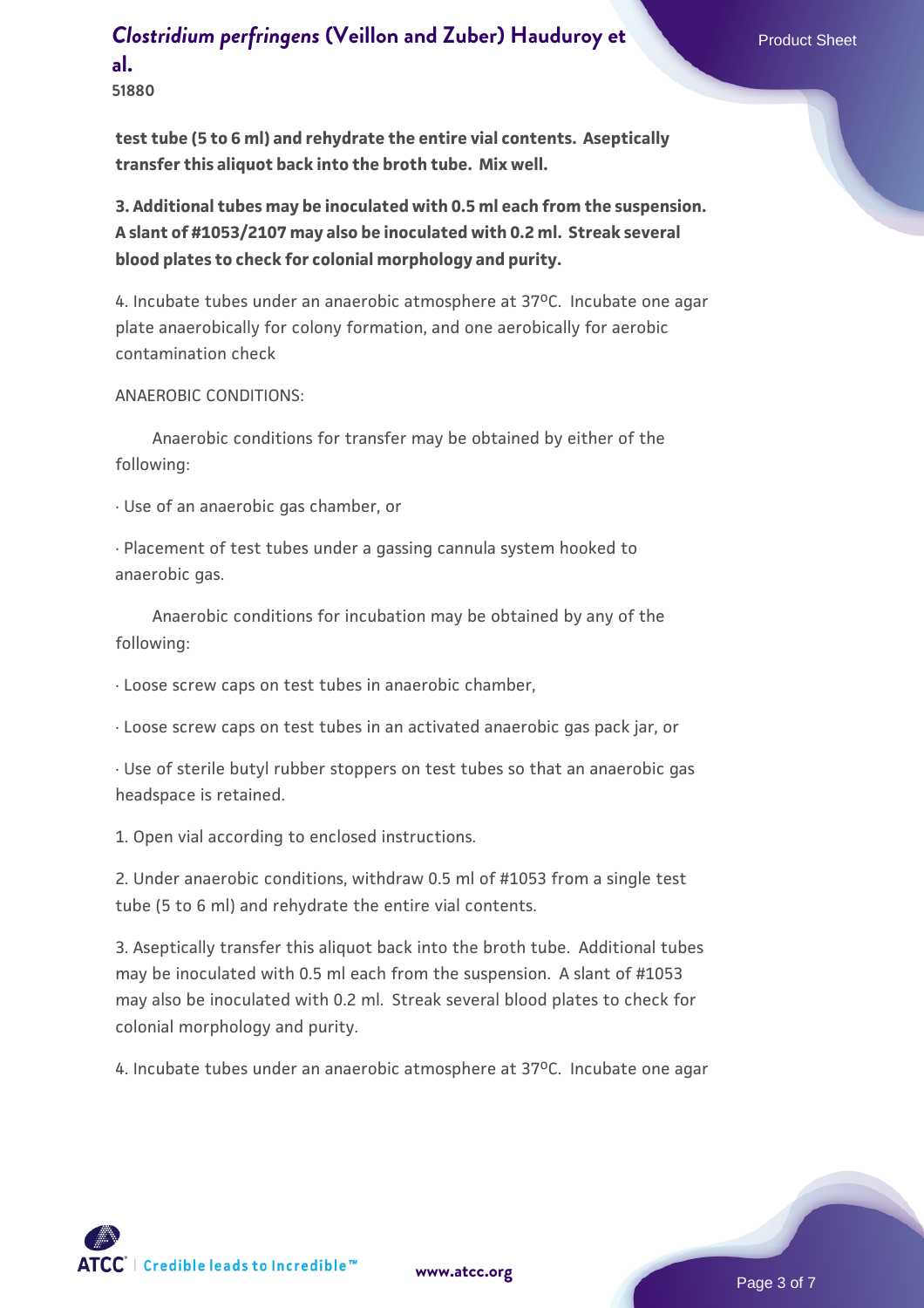**51880**

**test tube (5 to 6 ml) and rehydrate the entire vial contents. Aseptically transfer this aliquot back into the broth tube. Mix well.**

**3. Additional tubes may be inoculated with 0.5 ml each from the suspension. A slant of #1053/2107 may also be inoculated with 0.2 ml. Streak several blood plates to check for colonial morphology and purity.**

4. Incubate tubes under an anaerobic atmosphere at 37°C. Incubate one agar plate anaerobically for colony formation, and one aerobically for aerobic contamination check

#### ANAEROBIC CONDITIONS:

 Anaerobic conditions for transfer may be obtained by either of the following:

· Use of an anaerobic gas chamber, or

· Placement of test tubes under a gassing cannula system hooked to anaerobic gas.

 Anaerobic conditions for incubation may be obtained by any of the following:

· Loose screw caps on test tubes in anaerobic chamber,

· Loose screw caps on test tubes in an activated anaerobic gas pack jar, or

· Use of sterile butyl rubber stoppers on test tubes so that an anaerobic gas headspace is retained.

1. Open vial according to enclosed instructions.

2. Under anaerobic conditions, withdraw 0.5 ml of #1053 from a single test tube (5 to 6 ml) and rehydrate the entire vial contents.

3. Aseptically transfer this aliquot back into the broth tube. Additional tubes may be inoculated with 0.5 ml each from the suspension. A slant of #1053 may also be inoculated with 0.2 ml. Streak several blood plates to check for colonial morphology and purity.

4. Incubate tubes under an anaerobic atmosphere at 37°C. Incubate one agar

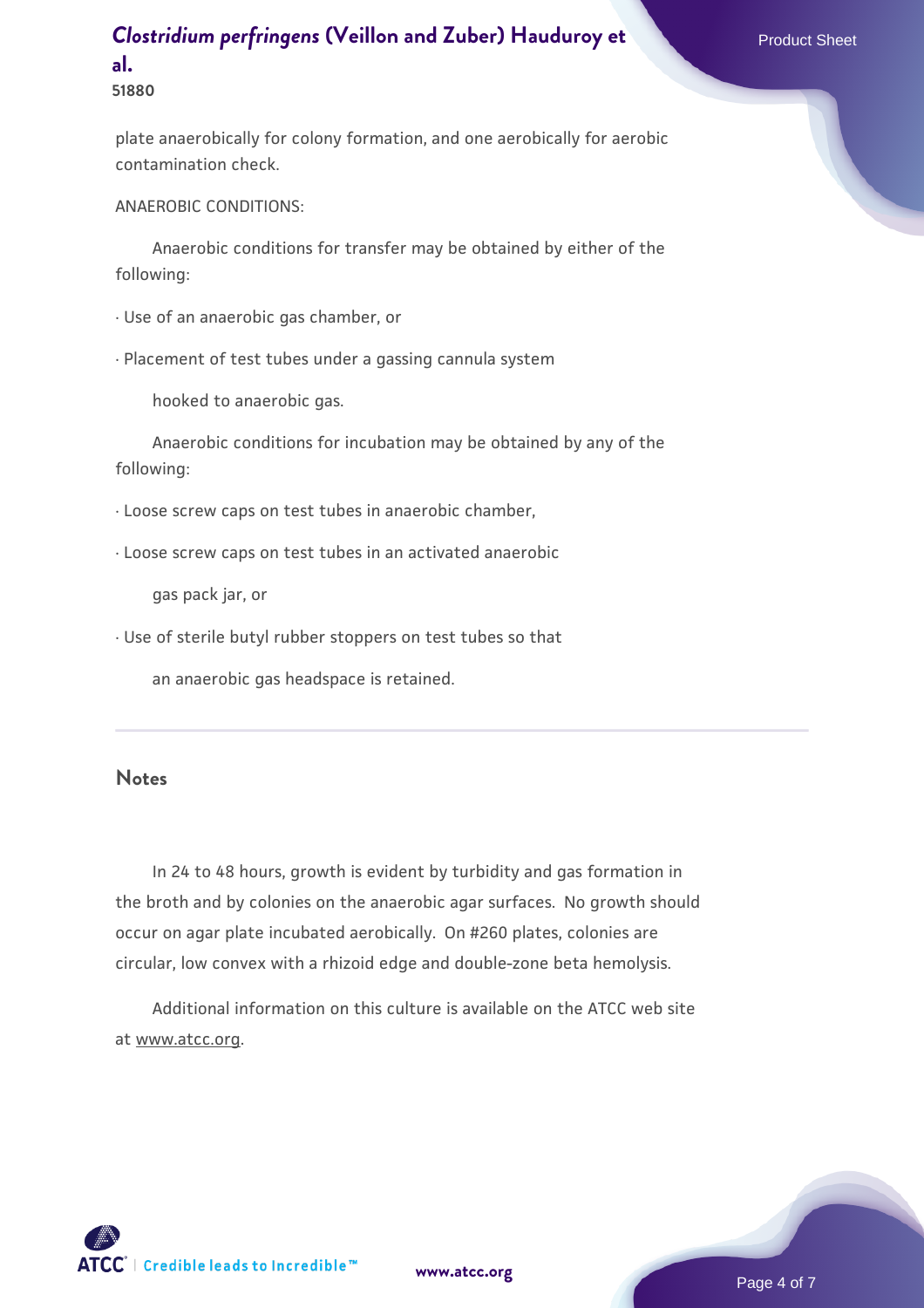**51880**

plate anaerobically for colony formation, and one aerobically for aerobic contamination check.

ANAEROBIC CONDITIONS:

 Anaerobic conditions for transfer may be obtained by either of the following:

· Use of an anaerobic gas chamber, or

· Placement of test tubes under a gassing cannula system

hooked to anaerobic gas.

 Anaerobic conditions for incubation may be obtained by any of the following:

· Loose screw caps on test tubes in anaerobic chamber,

· Loose screw caps on test tubes in an activated anaerobic

gas pack jar, or

· Use of sterile butyl rubber stoppers on test tubes so that

an anaerobic gas headspace is retained.

#### **Notes**

 In 24 to 48 hours, growth is evident by turbidity and gas formation in the broth and by colonies on the anaerobic agar surfaces. No growth should occur on agar plate incubated aerobically. On #260 plates, colonies are circular, low convex with a rhizoid edge and double-zone beta hemolysis.

 Additional information on this culture is available on the ATCC web site at www.atcc.org.

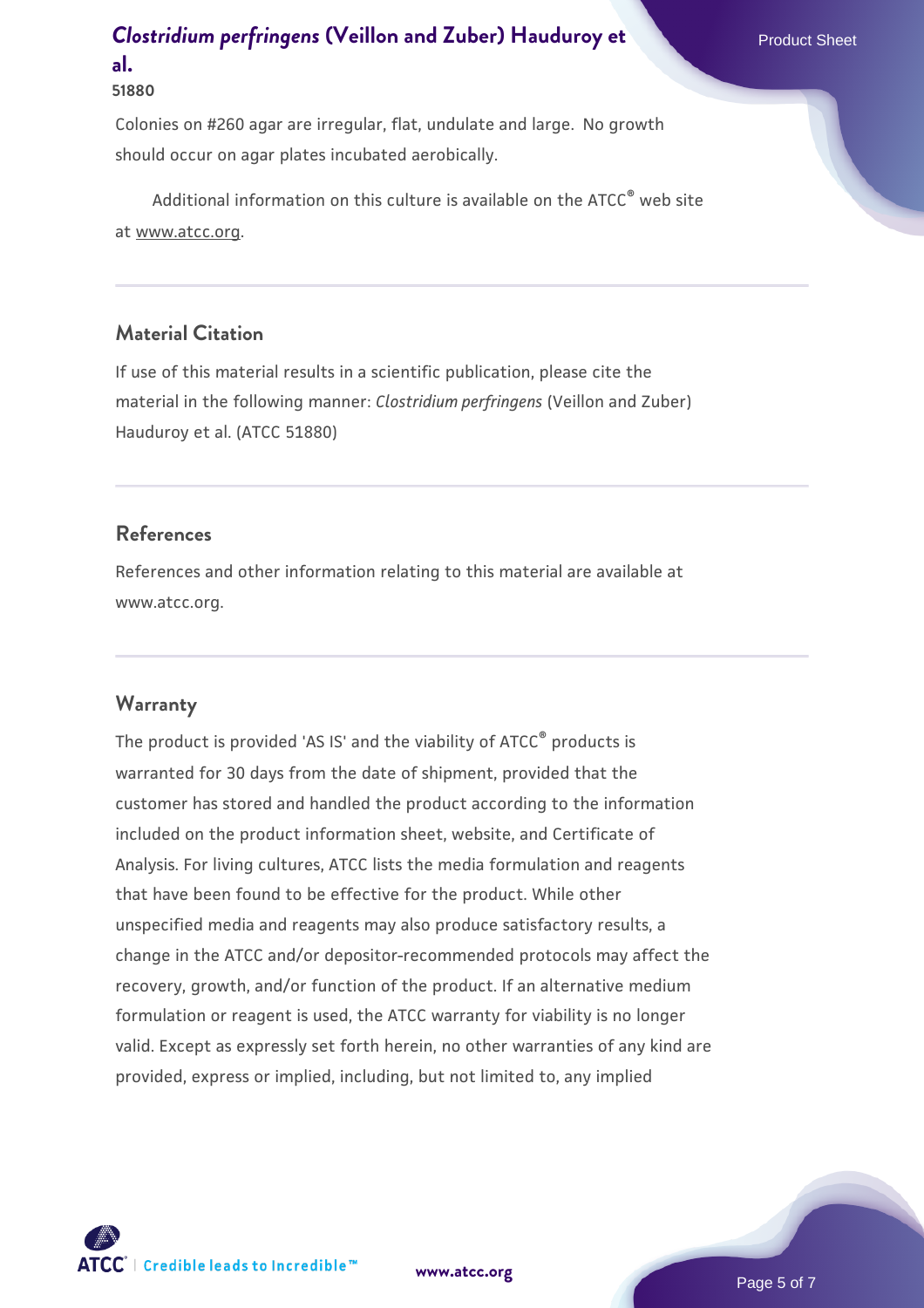### **51880**

Colonies on #260 agar are irregular, flat, undulate and large. No growth should occur on agar plates incubated aerobically.

Additional information on this culture is available on the ATCC<sup>®</sup> web site at www.atcc.org.

### **Material Citation**

If use of this material results in a scientific publication, please cite the material in the following manner: *Clostridium perfringens* (Veillon and Zuber) Hauduroy et al. (ATCC 51880)

### **References**

References and other information relating to this material are available at www.atcc.org.

### **Warranty**

The product is provided 'AS IS' and the viability of ATCC® products is warranted for 30 days from the date of shipment, provided that the customer has stored and handled the product according to the information included on the product information sheet, website, and Certificate of Analysis. For living cultures, ATCC lists the media formulation and reagents that have been found to be effective for the product. While other unspecified media and reagents may also produce satisfactory results, a change in the ATCC and/or depositor-recommended protocols may affect the recovery, growth, and/or function of the product. If an alternative medium formulation or reagent is used, the ATCC warranty for viability is no longer valid. Except as expressly set forth herein, no other warranties of any kind are provided, express or implied, including, but not limited to, any implied

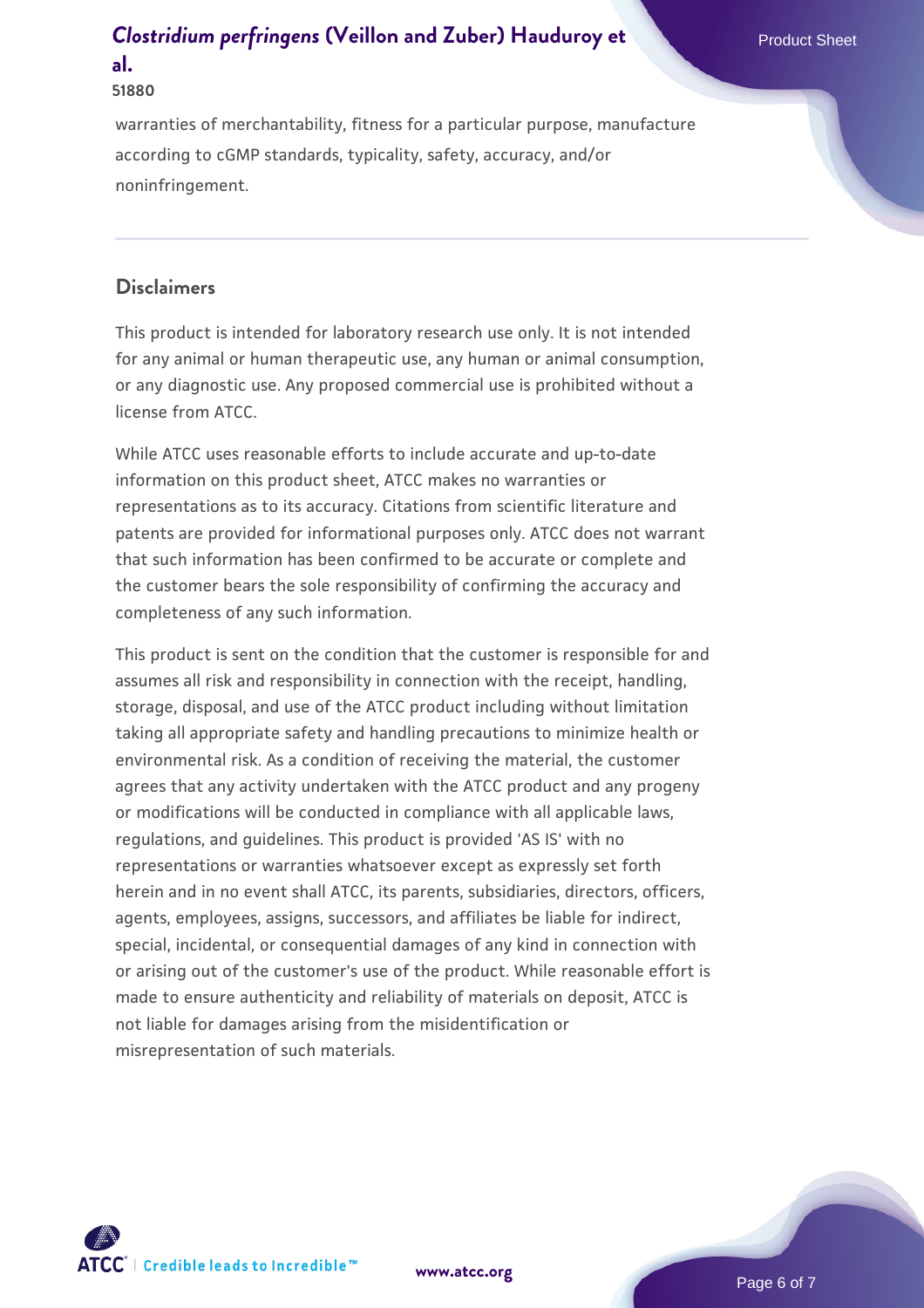#### **51880**

warranties of merchantability, fitness for a particular purpose, manufacture according to cGMP standards, typicality, safety, accuracy, and/or noninfringement.

### **Disclaimers**

This product is intended for laboratory research use only. It is not intended for any animal or human therapeutic use, any human or animal consumption, or any diagnostic use. Any proposed commercial use is prohibited without a license from ATCC.

While ATCC uses reasonable efforts to include accurate and up-to-date information on this product sheet, ATCC makes no warranties or representations as to its accuracy. Citations from scientific literature and patents are provided for informational purposes only. ATCC does not warrant that such information has been confirmed to be accurate or complete and the customer bears the sole responsibility of confirming the accuracy and completeness of any such information.

This product is sent on the condition that the customer is responsible for and assumes all risk and responsibility in connection with the receipt, handling, storage, disposal, and use of the ATCC product including without limitation taking all appropriate safety and handling precautions to minimize health or environmental risk. As a condition of receiving the material, the customer agrees that any activity undertaken with the ATCC product and any progeny or modifications will be conducted in compliance with all applicable laws, regulations, and guidelines. This product is provided 'AS IS' with no representations or warranties whatsoever except as expressly set forth herein and in no event shall ATCC, its parents, subsidiaries, directors, officers, agents, employees, assigns, successors, and affiliates be liable for indirect, special, incidental, or consequential damages of any kind in connection with or arising out of the customer's use of the product. While reasonable effort is made to ensure authenticity and reliability of materials on deposit, ATCC is not liable for damages arising from the misidentification or misrepresentation of such materials.